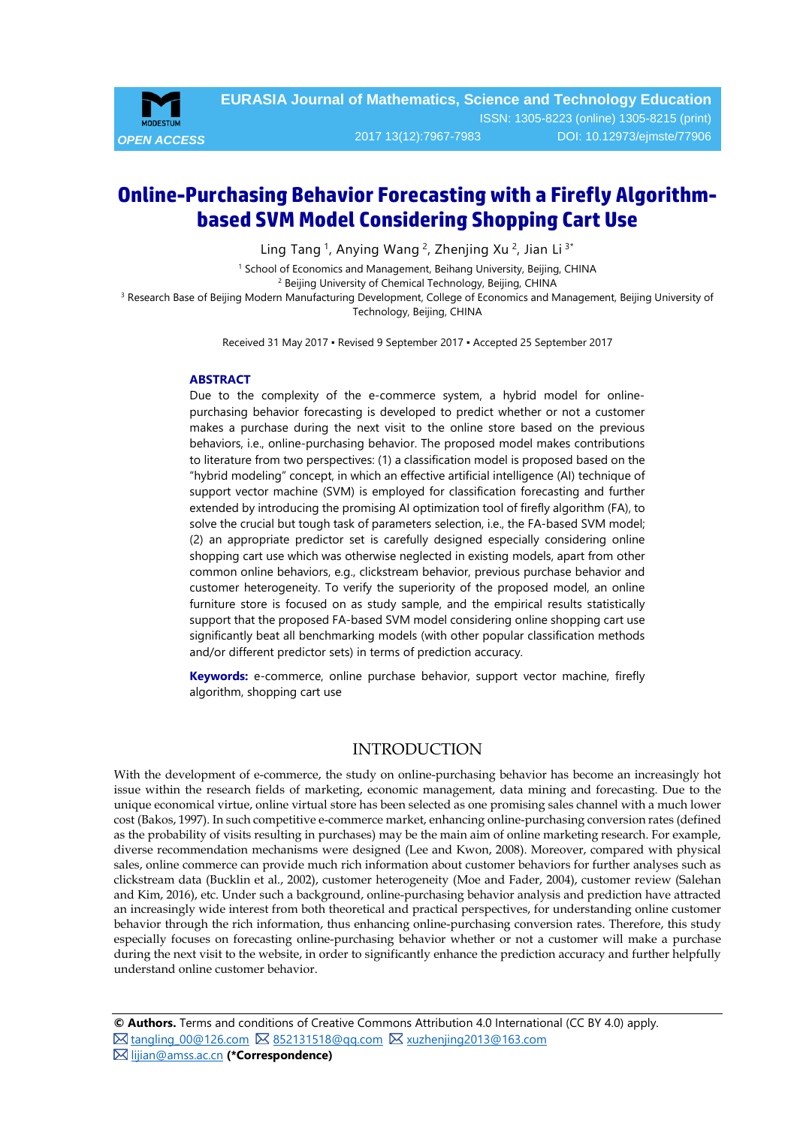

# **Online-Purchasing Behavior Forecasting with a Firefly Algorithmbased SVM Model Considering Shopping Cart Use**

Ling Tang<sup>1</sup>, Anying Wang<sup>2</sup>, Zhenjing Xu<sup>2</sup>, Jian Li<sup>3\*</sup>

<sup>1</sup> School of Economics and Management, Beihang University, Beijing, CHINA

<sup>2</sup> Beijing University of Chemical Technology, Beijing, CHINA

<sup>3</sup> Research Base of Beijing Modern Manufacturing Development, College of Economics and Management, Beijing University of

Technology, Beijing, CHINA

Received 31 May 2017 ▪ Revised 9 September 2017 ▪ Accepted 25 September 2017

## <span id="page-0-0"></span>**ABSTRACT**

Due to the complexity of the e-commerce system, a hybrid model for onlinepurchasing behavior forecasting is developed to predict whether or not a customer makes a purchase during the next visit to the online store based on the previous behaviors, i.e., online-purchasing behavior. The proposed model makes contributions to literature from two perspectives: (1) a classification model is proposed based on the "hybrid modeling" concept, in which an effective artificial intelligence (AI) technique of support vector machine (SVM) is employed for classification forecasting and further extended by introducing the promising AI optimization tool of firefly algorithm (FA), to solve the crucial but tough task of parameters selection, i.e., the FA-based SVM model; (2) an appropriate predictor set is carefully designed especially considering online shopping cart use which was otherwise neglected in existing models, apart from other common online behaviors, e.g., clickstream behavior, previous purchase behavior and customer heterogeneity. To verify the superiority of the proposed model, an online furniture store is focused on as study sample, and the empirical results statistically support that the proposed FA-based SVM model considering online shopping cart use significantly beat all benchmarking models (with other popular classification methods and/or different predictor sets) in terms of prediction accuracy.

**Keywords:** e-commerce, online purchase behavior, support vector machine, firefly algorithm, shopping cart use

## INTRODUCTION

With the development of e-commerce, the study on online-purchasing behavior has become an increasingly hot issue within the research fields of marketing, economic management, data mining and forecasting. Due to the unique economical virtue, online virtual store has been selected as one promising sales channel with a much lower cost (Bakos, 1997). In such competitive e-commerce market, enhancing online-purchasing conversion rates (defined as the probability of visits resulting in purchases) may be the main aim of online marketing research. For example, diverse recommendation mechanisms were designed (Lee and Kwon, 2008). Moreover, compared with physical sales, online commerce can provide much rich information about customer behaviors for further analyses such as clickstream data (Bucklin et al., 2002), customer heterogeneity (Moe and Fader, 2004), customer review (Salehan and Kim, 2016), etc. Under such a background, online-purchasing behavior analysis and prediction have attracted an increasingly wide interest from both theoretical and practical perspectives, for understanding online customer behavior through the rich information, thus enhancing online-purchasing conversion rates. Therefore, this study especially focuses on forecasting online-purchasing behavior whether or not a customer will make a purchase during the next visit to the website, in order to significantly enhance the prediction accuracy and further helpfully understand online customer behavior.

**<sup>©</sup> Authors.** Terms and conditions of Creative Commons Attribution 4.0 International (CC BY 4.0) apply.  $\boxtimes$  tangling 00@126.com  $\boxtimes$  [852131518@qq.com](mailto:852131518@qq.com)  $\boxtimes$  [xuzhenjing2013@163.com](mailto:xuzhenjing2013@163.com)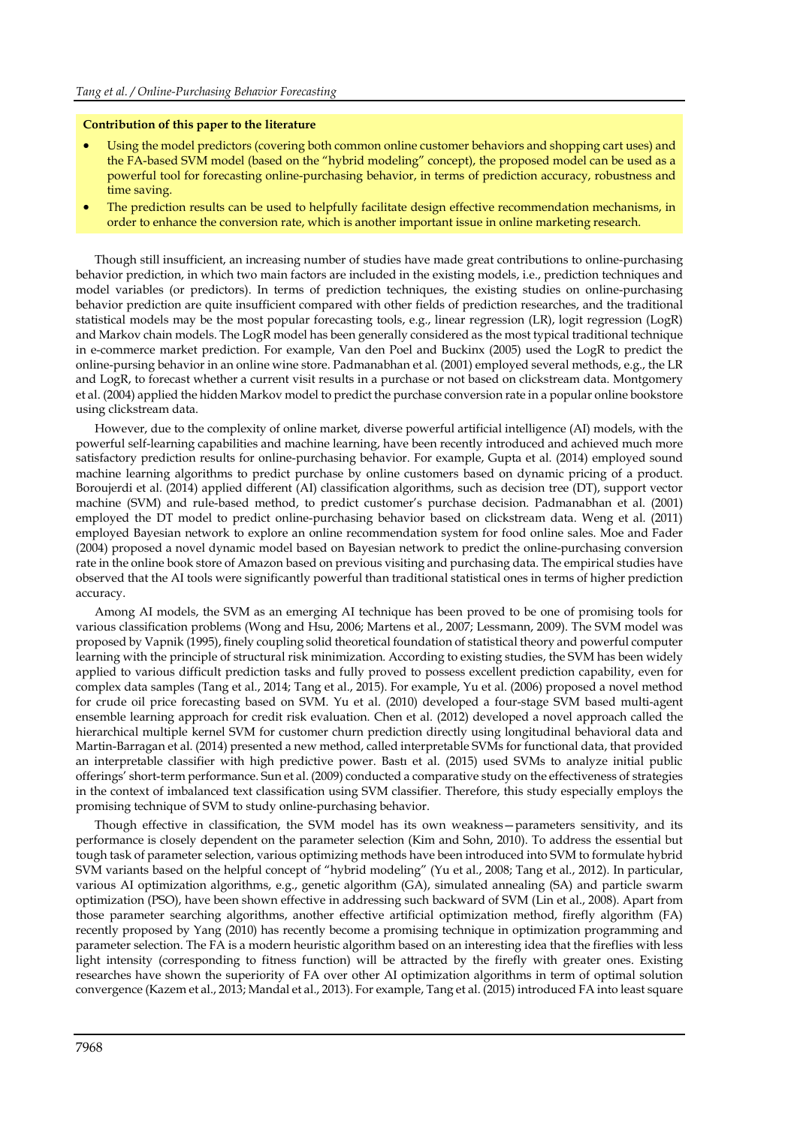#### **Contribution of this paper to the literature**

- Using the model predictors (covering both common online customer behaviors and shopping cart uses) and the FA-based SVM model (based on the "hybrid modeling" concept), the proposed model can be used as a powerful tool for forecasting online-purchasing behavior, in terms of prediction accuracy, robustness and time saving.
- The prediction results can be used to helpfully facilitate design effective recommendation mechanisms, in order to enhance the conversion rate, which is another important issue in online marketing research.

Though still insufficient, an increasing number of studies have made great contributions to online-purchasing behavior prediction, in which two main factors are included in the existing models, i.e., prediction techniques and model variables (or predictors). In terms of prediction techniques, the existing studies on online-purchasing behavior prediction are quite insufficient compared with other fields of prediction researches, and the traditional statistical models may be the most popular forecasting tools, e.g., linear regression (LR), logit regression (LogR) and Markov chain models. The LogR model has been generally considered as the most typical traditional technique in e-commerce market prediction. For example, Van den Poel and Buckinx (2005) used the LogR to predict the online-pursing behavior in an online wine store. Padmanabhan et al. (2001) employed several methods, e.g., the LR and LogR, to forecast whether a current visit results in a purchase or not based on clickstream data. Montgomery et al. (2004) applied the hidden Markov model to predict the purchase conversion rate in a popular online bookstore using clickstream data.

However, due to the complexity of online market, diverse powerful artificial intelligence (AI) models, with the powerful self-learning capabilities and machine learning, have been recently introduced and achieved much more satisfactory prediction results for online-purchasing behavior. For example, Gupta et al. (2014) employed sound machine learning algorithms to predict purchase by online customers based on dynamic pricing of a product. Boroujerdi et al. (2014) applied different (AI) classification algorithms, such as decision tree (DT), support vector machine (SVM) and rule-based method, to predict customer's purchase decision. Padmanabhan et al. (2001) employed the DT model to predict online-purchasing behavior based on clickstream data. Weng et al. (2011) employed Bayesian network to explore an online recommendation system for food online sales. Moe and Fader (2004) proposed a novel dynamic model based on Bayesian network to predict the online-purchasing conversion rate in the online book store of Amazon based on previous visiting and purchasing data. The empirical studies have observed that the AI tools were significantly powerful than traditional statistical ones in terms of higher prediction accuracy.

Among AI models, the SVM as an emerging AI technique has been proved to be one of promising tools for various classification problems (Wong and Hsu, 2006; Martens et al., 2007; Lessmann, 2009). The SVM model was proposed by Vapnik (1995), finely coupling solid theoretical foundation of statistical theory and powerful computer learning with the principle of structural risk minimization. According to existing studies, the SVM has been widely applied to various difficult prediction tasks and fully proved to possess excellent prediction capability, even for complex data samples (Tang et al., 2014; Tang et al., 2015). For example, Yu et al. (2006) proposed a novel method for crude oil price forecasting based on SVM. Yu et al. (2010) developed a four-stage SVM based multi-agent ensemble learning approach for credit risk evaluation. Chen et al. (2012) developed a novel approach called the hierarchical multiple kernel SVM for customer churn prediction directly using longitudinal behavioral data and Martin-Barragan et al. (2014) presented a new method, called interpretable SVMs for functional data, that provided an interpretable classifier with high predictive power. Bastı et al. (2015) used SVMs to analyze initial public offerings' short-term performance. Sun et al. (2009) conducted a comparative study on the effectiveness of strategies in the context of imbalanced text classification using SVM classifier. Therefore, this study especially employs the promising technique of SVM to study online-purchasing behavior.

Though effective in classification, the SVM model has its own weakness—parameters sensitivity, and its performance is closely dependent on the parameter selection (Kim and Sohn, 2010). To address the essential but tough task of parameter selection, various optimizing methods have been introduced into SVM to formulate hybrid SVM variants based on the helpful concept of "hybrid modeling" (Yu et al., 2008; Tang et al., 2012). In particular, various AI optimization algorithms, e.g., genetic algorithm (GA), simulated annealing (SA) and particle swarm optimization (PSO), have been shown effective in addressing such backward of SVM (Lin et al., 2008). Apart from those parameter searching algorithms, another effective artificial optimization method, firefly algorithm (FA) recently proposed by Yang (2010) has recently become a promising technique in optimization programming and parameter selection. The FA is a modern heuristic algorithm based on an interesting idea that the fireflies with less light intensity (corresponding to fitness function) will be attracted by the firefly with greater ones. Existing researches have shown the superiority of FA over other AI optimization algorithms in term of optimal solution convergence (Kazem et al., 2013; Mandal et al., 2013). For example, Tang et al. (2015) introduced FA into least square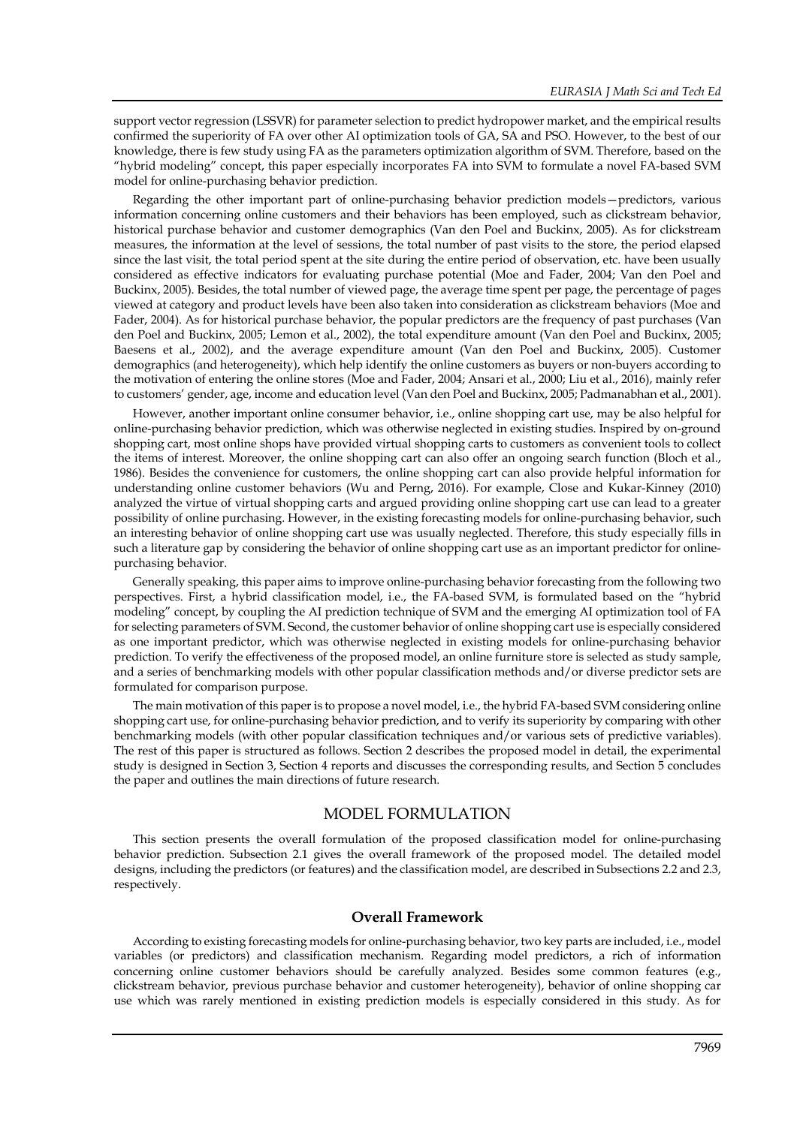support vector regression (LSSVR) for parameter selection to predict hydropower market, and the empirical results confirmed the superiority of FA over other AI optimization tools of GA, SA and PSO. However, to the best of our knowledge, there is few study using FA as the parameters optimization algorithm of SVM. Therefore, based on the "hybrid modeling" concept, this paper especially incorporates FA into SVM to formulate a novel FA-based SVM model for online-purchasing behavior prediction.

Regarding the other important part of online-purchasing behavior prediction models—predictors, various information concerning online customers and their behaviors has been employed, such as clickstream behavior, historical purchase behavior and customer demographics (Van den Poel and Buckinx, 2005). As for clickstream measures, the information at the level of sessions, the total number of past visits to the store, the period elapsed since the last visit, the total period spent at the site during the entire period of observation, etc. have been usually considered as effective indicators for evaluating purchase potential (Moe and Fader, 2004; Van den Poel and Buckinx, 2005). Besides, the total number of viewed page, the average time spent per page, the percentage of pages viewed at category and product levels have been also taken into consideration as clickstream behaviors (Moe and Fader, 2004). As for historical purchase behavior, the popular predictors are the frequency of past purchases (Van den Poel and Buckinx, 2005; Lemon et al., 2002), the total expenditure amount (Van den Poel and Buckinx, 2005; Baesens et al., 2002), and the average expenditure amount (Van den Poel and Buckinx, 2005). Customer demographics (and heterogeneity), which help identify the online customers as buyers or non-buyers according to the motivation of entering the online stores (Moe and Fader, 2004; Ansari et al., 2000; Liu et al., 2016), mainly refer to customers' gender, age, income and education level (Van den Poel and Buckinx, 2005; Padmanabhan et al., 2001).

However, another important online consumer behavior, i.e., online shopping cart use, may be also helpful for online-purchasing behavior prediction, which was otherwise neglected in existing studies. Inspired by on-ground shopping cart, most online shops have provided virtual shopping carts to customers as convenient tools to collect the items of interest. Moreover, the online shopping cart can also offer an ongoing search function (Bloch et al., 1986). Besides the convenience for customers, the online shopping cart can also provide helpful information for understanding online customer behaviors (Wu and Perng, 2016). For example, Close and Kukar-Kinney (2010) analyzed the virtue of virtual shopping carts and argued providing online shopping cart use can lead to a greater possibility of online purchasing. However, in the existing forecasting models for online-purchasing behavior, such an interesting behavior of online shopping cart use was usually neglected. Therefore, this study especially fills in such a literature gap by considering the behavior of online shopping cart use as an important predictor for onlinepurchasing behavior.

Generally speaking, this paper aims to improve online-purchasing behavior forecasting from the following two perspectives. First, a hybrid classification model, i.e., the FA-based SVM, is formulated based on the "hybrid modeling" concept, by coupling the AI prediction technique of SVM and the emerging AI optimization tool of FA for selecting parameters of SVM. Second, the customer behavior of online shopping cart use is especially considered as one important predictor, which was otherwise neglected in existing models for online-purchasing behavior prediction. To verify the effectiveness of the proposed model, an online furniture store is selected as study sample, and a series of benchmarking models with other popular classification methods and/or diverse predictor sets are formulated for comparison purpose.

The main motivation of this paper is to propose a novel model, i.e., the hybrid FA-based SVM considering online shopping cart use, for online-purchasing behavior prediction, and to verify its superiority by comparing with other benchmarking models (with other popular classification techniques and/or various sets of predictive variables). The rest of this paper is structured as follows. Section 2 describes the proposed model in detail, the experimental study is designed in Section 3, Section 4 reports and discusses the corresponding results, and Section 5 concludes the paper and outlines the main directions of future research.

## MODEL FORMULATION

This section presents the overall formulation of the proposed classification model for online-purchasing behavior prediction. Subsection 2.1 gives the overall framework of the proposed model. The detailed model designs, including the predictors (or features) and the classification model, are described in Subsections 2.2 and 2.3, respectively.

## **Overall Framework**

According to existing forecasting models for online-purchasing behavior, two key parts are included, i.e., model variables (or predictors) and classification mechanism. Regarding model predictors, a rich of information concerning online customer behaviors should be carefully analyzed. Besides some common features (e.g., clickstream behavior, previous purchase behavior and customer heterogeneity), behavior of online shopping car use which was rarely mentioned in existing prediction models is especially considered in this study. As for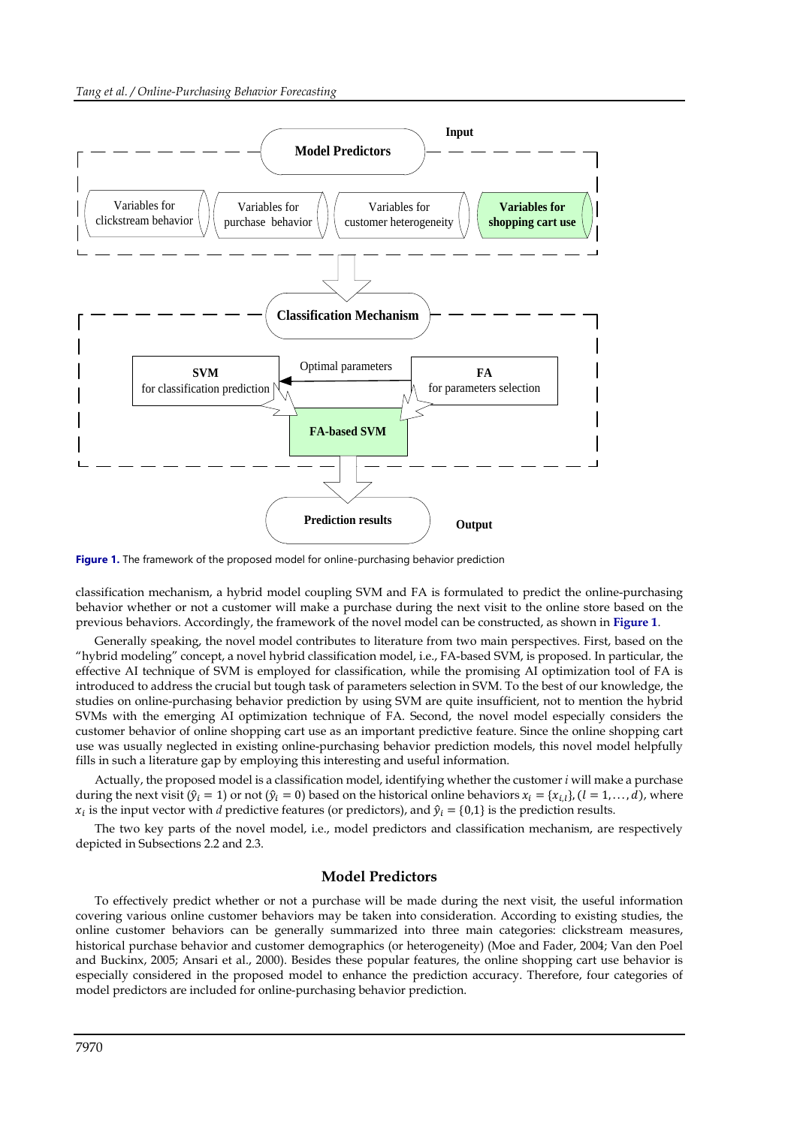

**Figure 1.** The framework of the proposed model for online-purchasing behavior prediction

classification mechanism, a hybrid model coupling SVM and FA is formulated to predict the online-purchasing behavior whether or not a customer will make a purchase during the next visit to the online store based on the previous behaviors. Accordingly, the framework of the novel model can be constructed, as shown in **Figure 1**.

Generally speaking, the novel model contributes to literature from two main perspectives. First, based on the "hybrid modeling" concept, a novel hybrid classification model, i.e., FA-based SVM, is proposed. In particular, the effective AI technique of SVM is employed for classification, while the promising AI optimization tool of FA is introduced to address the crucial but tough task of parameters selection in SVM. To the best of our knowledge, the studies on online-purchasing behavior prediction by using SVM are quite insufficient, not to mention the hybrid SVMs with the emerging AI optimization technique of FA. Second, the novel model especially considers the customer behavior of online shopping cart use as an important predictive feature. Since the online shopping cart use was usually neglected in existing online-purchasing behavior prediction models, this novel model helpfully fills in such a literature gap by employing this interesting and useful information.

Actually, the proposed model is a classification model, identifying whether the customer *i* will make a purchase during the next visit  $(\hat{y}_i = 1)$  or not  $(\hat{y}_i = 0)$  based on the historical online behaviors  $x_i = \{x_{i,l}\}, (l = 1, ..., d)$ , where  $x_i$  is the input vector with *d* predictive features (or predictors), and  $\hat{y}_i = \{0,1\}$  is the prediction results.

The two key parts of the novel model, i.e., model predictors and classification mechanism, are respectively depicted in Subsections 2.2 and 2.3.

## **Model Predictors**

To effectively predict whether or not a purchase will be made during the next visit, the useful information covering various online customer behaviors may be taken into consideration. According to existing studies, the online customer behaviors can be generally summarized into three main categories: clickstream measures, historical purchase behavior and customer demographics (or heterogeneity) (Moe and Fader, 2004; Van den Poel and Buckinx, 2005; Ansari et al., 2000). Besides these popular features, the online shopping cart use behavior is especially considered in the proposed model to enhance the prediction accuracy. Therefore, four categories of model predictors are included for online-purchasing behavior prediction.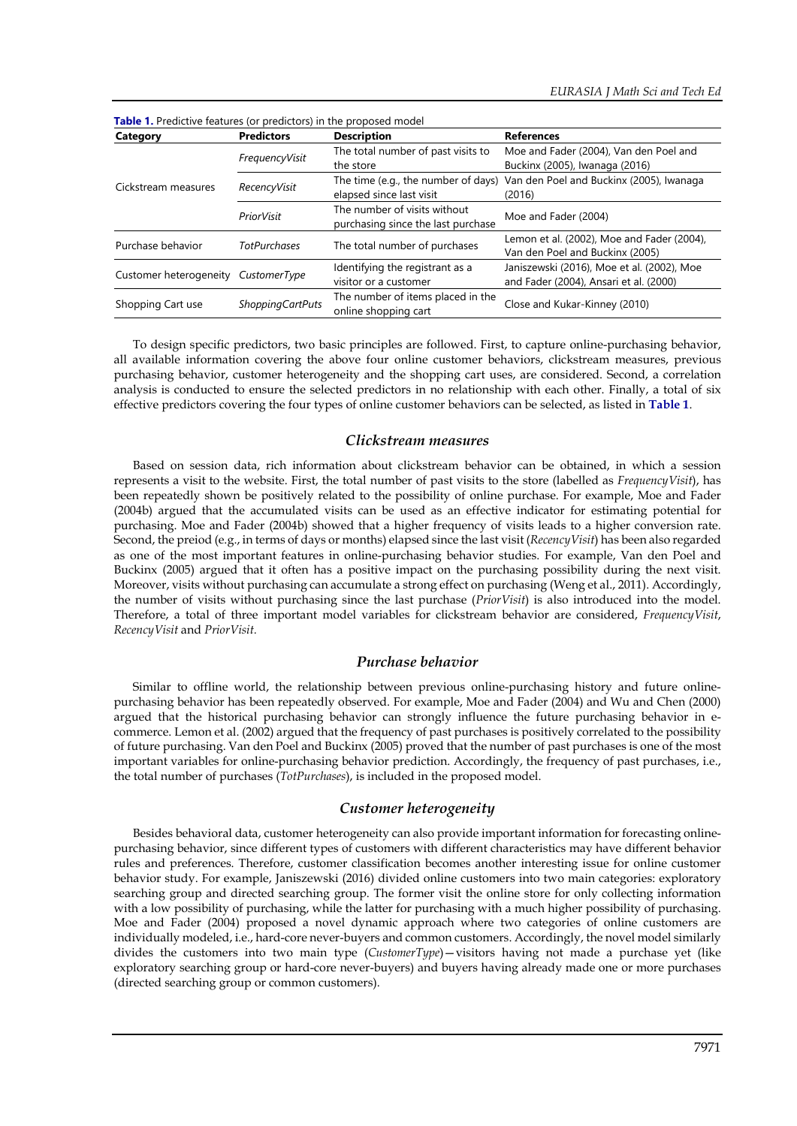| <b>Table 1.</b> Predictive features (or predictors) in the proposed model |                         |                                     |                                            |  |  |  |  |
|---------------------------------------------------------------------------|-------------------------|-------------------------------------|--------------------------------------------|--|--|--|--|
| Category                                                                  | <b>Predictors</b>       | <b>Description</b>                  | <b>References</b>                          |  |  |  |  |
|                                                                           | FrequencyVisit          | The total number of past visits to  | Moe and Fader (2004), Van den Poel and     |  |  |  |  |
|                                                                           |                         | the store                           | Buckinx (2005), Iwanaga (2016)             |  |  |  |  |
| Cickstream measures                                                       | RecencyVisit            | The time (e.g., the number of days) | Van den Poel and Buckinx (2005), Iwanaga   |  |  |  |  |
|                                                                           |                         | elapsed since last visit            | (2016)                                     |  |  |  |  |
|                                                                           | PriorVisit              | The number of visits without        | Moe and Fader (2004)                       |  |  |  |  |
|                                                                           |                         | purchasing since the last purchase  |                                            |  |  |  |  |
| Purchase behavior                                                         | <b>TotPurchases</b>     | The total number of purchases       | Lemon et al. (2002), Moe and Fader (2004), |  |  |  |  |
|                                                                           |                         |                                     | Van den Poel and Buckinx (2005)            |  |  |  |  |
|                                                                           |                         | Identifying the registrant as a     | Janiszewski (2016), Moe et al. (2002), Moe |  |  |  |  |
| Customer heterogeneity CustomerType                                       |                         | visitor or a customer               | and Fader (2004), Ansari et al. (2000)     |  |  |  |  |
|                                                                           |                         | The number of items placed in the   |                                            |  |  |  |  |
| Shopping Cart use                                                         | <b>ShoppingCartPuts</b> | online shopping cart                | Close and Kukar-Kinney (2010)              |  |  |  |  |

To design specific predictors, two basic principles are followed. First, to capture online-purchasing behavior, all available information covering the above four online customer behaviors, clickstream measures, previous purchasing behavior, customer heterogeneity and the shopping cart uses, are considered. Second, a correlation analysis is conducted to ensure the selected predictors in no relationship with each other. Finally, a total of six effective predictors covering the four types of online customer behaviors can be selected, as listed in **Table 1**.

#### *Clickstream measures*

Based on session data, rich information about clickstream behavior can be obtained, in which a session represents a visit to the website. First, the total number of past visits to the store (labelled as *FrequencyVisit*), has been repeatedly shown be positively related to the possibility of online purchase. For example, Moe and Fader (2004b) argued that the accumulated visits can be used as an effective indicator for estimating potential for purchasing. Moe and Fader (2004b) showed that a higher frequency of visits leads to a higher conversion rate. Second, the preiod (e.g., in terms of days or months) elapsed since the last visit (*RecencyVisit*) has been also regarded as one of the most important features in online-purchasing behavior studies. For example, Van den Poel and Buckinx (2005) argued that it often has a positive impact on the purchasing possibility during the next visit. Moreover, visits without purchasing can accumulate a strong effect on purchasing (Weng et al., 2011). Accordingly, the number of visits without purchasing since the last purchase (*PriorVisit*) is also introduced into the model. Therefore, a total of three important model variables for clickstream behavior are considered, *FrequencyVisit*, *RecencyVisit* and *PriorVisit.*

## *Purchase behavior*

Similar to offline world, the relationship between previous online-purchasing history and future onlinepurchasing behavior has been repeatedly observed. For example, Moe and Fader (2004) and Wu and Chen (2000) argued that the historical purchasing behavior can strongly influence the future purchasing behavior in ecommerce. Lemon et al. (2002) argued that the frequency of past purchases is positively correlated to the possibility of future purchasing. Van den Poel and Buckinx (2005) proved that the number of past purchases is one of the most important variables for online-purchasing behavior prediction. Accordingly, the frequency of past purchases, i.e., the total number of purchases (*TotPurchases*), is included in the proposed model.

#### *Customer heterogeneity*

Besides behavioral data, customer heterogeneity can also provide important information for forecasting onlinepurchasing behavior, since different types of customers with different characteristics may have different behavior rules and preferences. Therefore, customer classification becomes another interesting issue for online customer behavior study. For example, Janiszewski (2016) divided online customers into two main categories: exploratory searching group and directed searching group. The former visit the online store for only collecting information with a low possibility of purchasing, while the latter for purchasing with a much higher possibility of purchasing. Moe and Fader (2004) proposed a novel dynamic approach where two categories of online customers are individually modeled, i.e., hard-core never-buyers and common customers. Accordingly, the novel model similarly divides the customers into two main type (*CustomerType*)—visitors having not made a purchase yet (like exploratory searching group or hard-core never-buyers) and buyers having already made one or more purchases (directed searching group or common customers).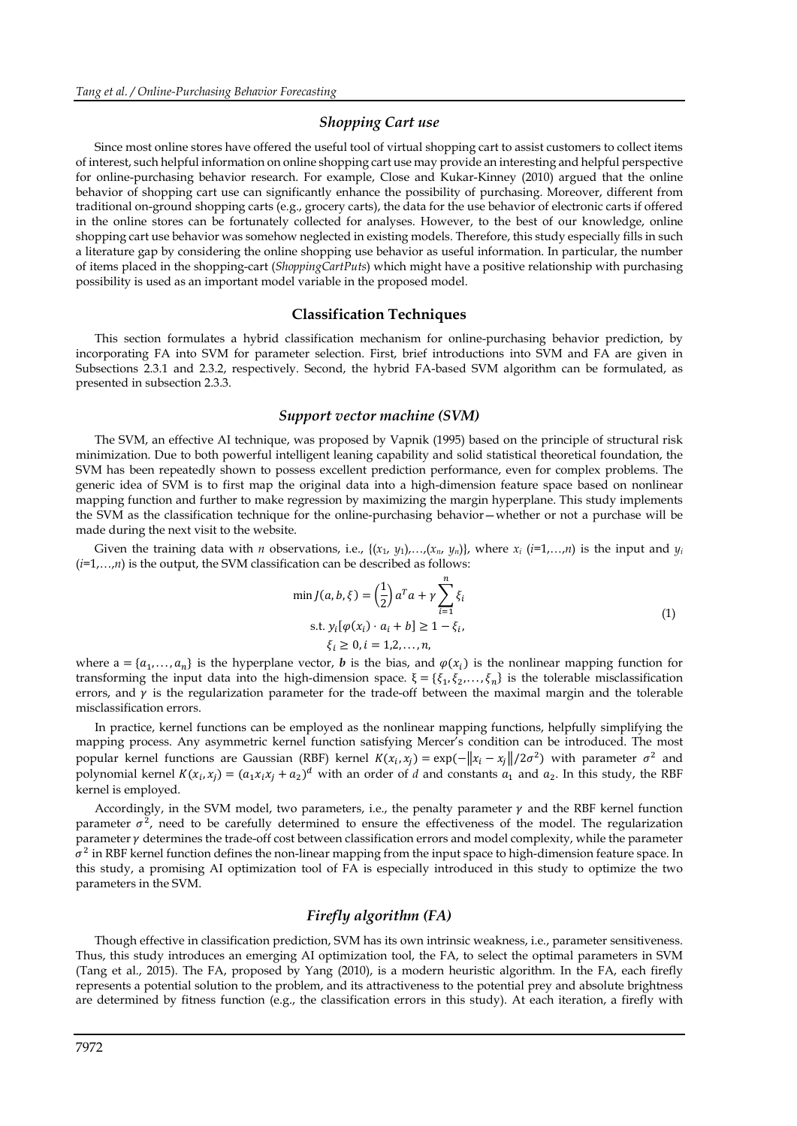## *Shopping Cart use*

Since most online stores have offered the useful tool of virtual shopping cart to assist customers to collect items of interest, such helpful information on online shopping cart use may provide an interesting and helpful perspective for online-purchasing behavior research. For example, Close and Kukar-Kinney (2010) argued that the online behavior of shopping cart use can significantly enhance the possibility of purchasing. Moreover, different from traditional on-ground shopping carts (e.g., grocery carts), the data for the use behavior of electronic carts if offered in the online stores can be fortunately collected for analyses. However, to the best of our knowledge, online shopping cart use behavior was somehow neglected in existing models. Therefore, this study especially fills in such a literature gap by considering the online shopping use behavior as useful information. In particular, the number of items placed in the shopping-cart (*ShoppingCartPuts*) which might have a positive relationship with purchasing possibility is used as an important model variable in the proposed model.

## **Classification Techniques**

This section formulates a hybrid classification mechanism for online-purchasing behavior prediction, by incorporating FA into SVM for parameter selection. First, brief introductions into SVM and FA are given in Subsections 2.3.1 and 2.3.2, respectively. Second, the hybrid FA-based SVM algorithm can be formulated, as presented in subsection 2.3.3.

#### *Support vector machine (SVM)*

The SVM, an effective AI technique, was proposed by Vapnik (1995) based on the principle of structural risk minimization. Due to both powerful intelligent leaning capability and solid statistical theoretical foundation, the SVM has been repeatedly shown to possess excellent prediction performance, even for complex problems. The generic idea of SVM is to first map the original data into a high-dimension feature space based on nonlinear mapping function and further to make regression by maximizing the margin hyperplane. This study implements the SVM as the classification technique for the online-purchasing behavior—whether or not a purchase will be made during the next visit to the website.

Given the training data with *n* observations, i.e.,  $\{(x_1, y_1), \ldots, (x_n, y_n)\}$ , where  $x_i$  ( $i=1,\ldots,n$ ) is the input and  $y_i$  $(i=1,...,n)$  is the output, the SVM classification can be described as follows:

$$
\min J(a, b, \xi) = \left(\frac{1}{2}\right) a^T a + \gamma \sum_{i=1}^n \xi_i
$$
  
s.t.  $y_i[\varphi(x_i) \cdot a_i + b] \ge 1 - \xi_i$ ,  
 $\xi_i \ge 0, i = 1, 2, ..., n,$  (1)

where  $a = \{a_1, \ldots, a_n\}$  is the hyperplane vector, *b* is the bias, and  $\varphi(x_i)$  is the nonlinear mapping function for transforming the input data into the high-dimension space. ξ = {ξ<sub>1</sub>, ξ<sub>2</sub>, ..., ξ<sub>n</sub>} is the tolerable misclassification errors, and  $\gamma$  is the regularization parameter for the trade-off between the maximal margin and the tolerable misclassification errors.

In practice, kernel functions can be employed as the nonlinear mapping functions, helpfully simplifying the mapping process. Any asymmetric kernel function satisfying Mercer's condition can be introduced. The most popular kernel functions are Gaussian (RBF) kernel  $K(x_i, x_j) = \exp(-||x_i - x_j||/2\sigma^2)$  with parameter  $\sigma^2$  and polynomial kernel  $K(x_i, x_j) = (a_1 x_i x_i + a_2)^d$  with an order of *d* and constants  $a_1$  and  $a_2$ . In this study, the RBF kernel is employed.

Accordingly, in the SVM model, two parameters, i.e., the penalty parameter  $\gamma$  and the RBF kernel function parameter  $\sigma^2$ , need to be carefully determined to ensure the effectiveness of the model. The regularization parameter  $\gamma$  determines the trade-off cost between classification errors and model complexity, while the parameter  $\sigma^2$  in RBF kernel function defines the non-linear mapping from the input space to high-dimension feature space. In this study, a promising AI optimization tool of FA is especially introduced in this study to optimize the two parameters in the SVM.

## *Firefly algorithm (FA)*

Though effective in classification prediction, SVM has its own intrinsic weakness, i.e., parameter sensitiveness. Thus, this study introduces an emerging AI optimization tool, the FA, to select the optimal parameters in SVM (Tang et al., 2015). The FA, proposed by Yang (2010), is a modern heuristic algorithm. In the FA, each firefly represents a potential solution to the problem, and its attractiveness to the potential prey and absolute brightness are determined by fitness function (e.g., the classification errors in this study). At each iteration, a firefly with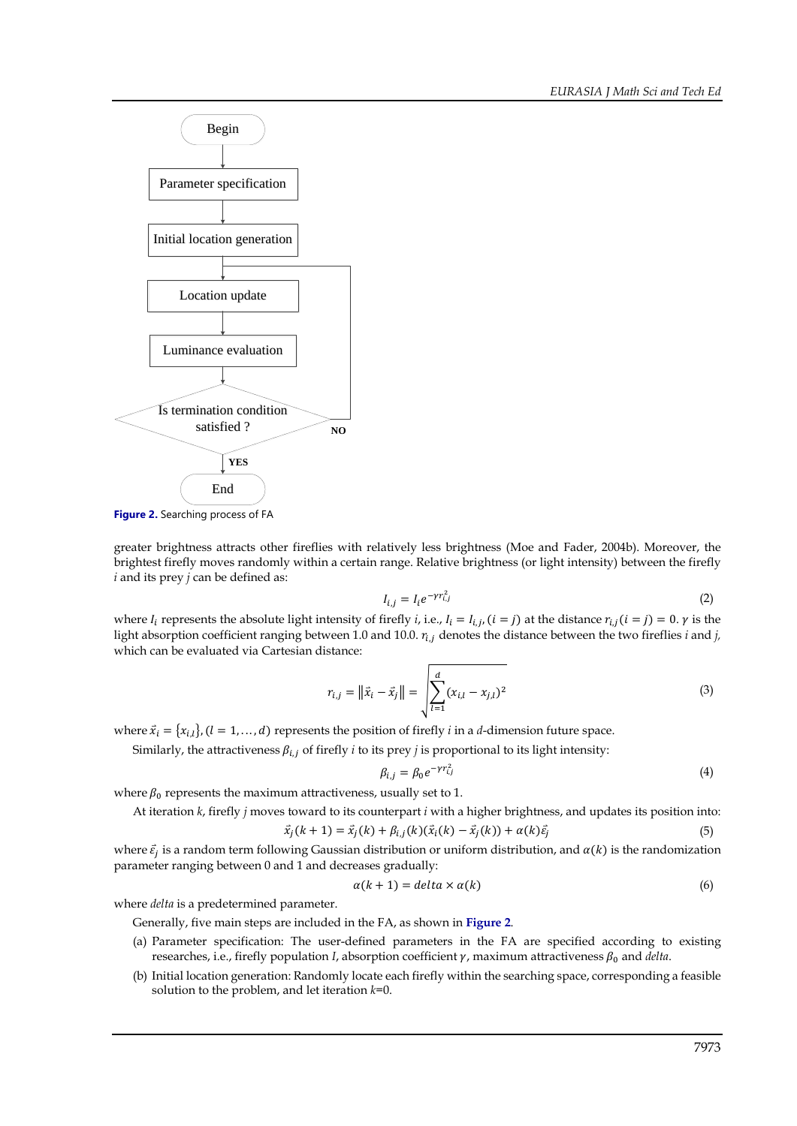

**Figure 2.** Searching process of FA

greater brightness attracts other fireflies with relatively less brightness (Moe and Fader, 2004b). Moreover, the brightest firefly moves randomly within a certain range. Relative brightness (or light intensity) between the firefly *i* and its prey *j* can be defined as:

$$
I_{i,j} = I_i e^{-\gamma r_{i,j}^2}
$$
 (2)

where  $I_i$  represents the absolute light intensity of firefly *i*, i.e.,  $I_i = I_{i,j}$ ,  $(i = j)$  at the distance  $r_{i,j}$   $(i = j) = 0$ .  $\gamma$  is the light absorption coefficient ranging between 1.0 and 10.0.  $r_{i,j}$  denotes the distance between the two fireflies *i* and *j*, which can be evaluated via Cartesian distance:

$$
r_{i,j} = \|\vec{x}_i - \vec{x}_j\| = \sqrt{\sum_{l=1}^d (x_{i,l} - x_{j,l})^2}
$$
 (3)

where  $\vec{x}_i = \{x_{i,l}\}, (l = 1, \ldots, d)$  represents the position of firefly *i* in a *d*-dimension future space.

Similarly, the attractiveness  $\beta_{i,j}$  of firefly *i* to its prey *j* is proportional to its light intensity:

$$
\beta_{i,j} = \beta_0 e^{-\gamma r_{i,j}^2}
$$
\n(4)

where  $\beta_0$  represents the maximum attractiveness, usually set to 1. At iteration *k*, firefly *j* moves toward to its counterpart *i* with a higher brightness, and updates its position into:

$$
\vec{x}_j(k+1) = \vec{x}_j(k) + \beta_{i,j}(k)(\vec{x}_i(k) - \vec{x}_j(k)) + \alpha(k)\vec{\varepsilon}_j
$$
\n(5)

where  $\vec{\varepsilon}_j$  is a random term following Gaussian distribution or uniform distribution, and  $\alpha(k)$  is the randomization parameter ranging between 0 and 1 and decreases gradually:

$$
\alpha(k+1) = delta \times \alpha(k) \tag{6}
$$

where *delta* is a predetermined parameter.

Generally, five main steps are included in the FA, as shown in **Figure 2**.

- (a) Parameter specification: The user-defined parameters in the FA are specified according to existing researches, i.e., firefly population *I*, absorption coefficient  $\gamma$ , maximum attractiveness  $\beta_0$  and *delta*.
- (b) Initial location generation: Randomly locate each firefly within the searching space, corresponding a feasible solution to the problem, and let iteration *k*=0.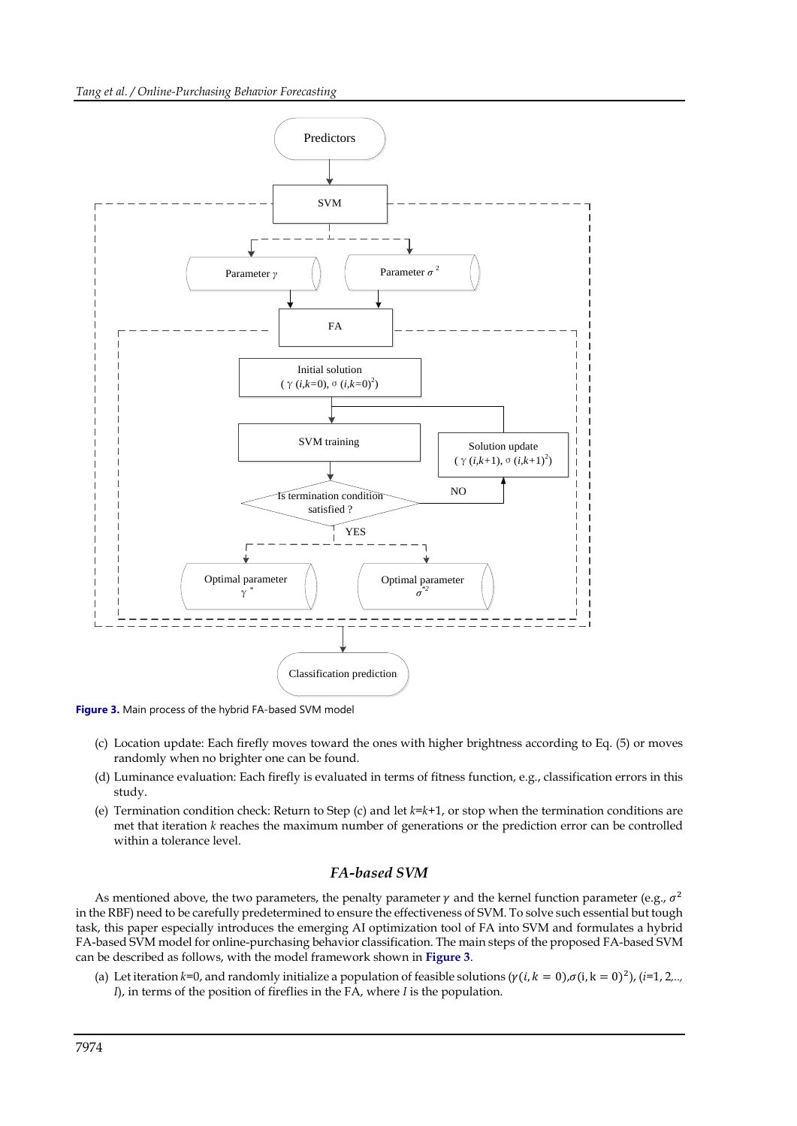

**Figure 3.** Main process of the hybrid FA-based SVM model

- (c) Location update: Each firefly moves toward the ones with higher brightness according to Eq. (5) or moves randomly when no brighter one can be found.
- (d) Luminance evaluation: Each firefly is evaluated in terms of fitness function, e.g., classification errors in this study.
- (e) Termination condition check: Return to Step (c) and let *k*=*k*+1, or stop when the termination conditions are met that iteration *k* reaches the maximum number of generations or the prediction error can be controlled within a tolerance level.

## *FA-based SVM*

As mentioned above, the two parameters, the penalty parameter  $\gamma$  and the kernel function parameter (e.g.,  $\sigma^2$ in the RBF) need to be carefully predetermined to ensure the effectiveness of SVM. To solve such essential but tough task, this paper especially introduces the emerging AI optimization tool of FA into SVM and formulates a hybrid FA-based SVM model for online-purchasing behavior classification. The main steps of the proposed FA-based SVM can be described as follows, with the model framework shown in **Figure 3**.

(a) Let iteration  $k=0$ , and randomly initialize a population of feasible solutions  $(\gamma(i, k = 0), \sigma(i, k = 0)^2)$ ,  $(i=1, 2, \ldots, k)$ *I*), in terms of the position of fireflies in the FA, where *I* is the population.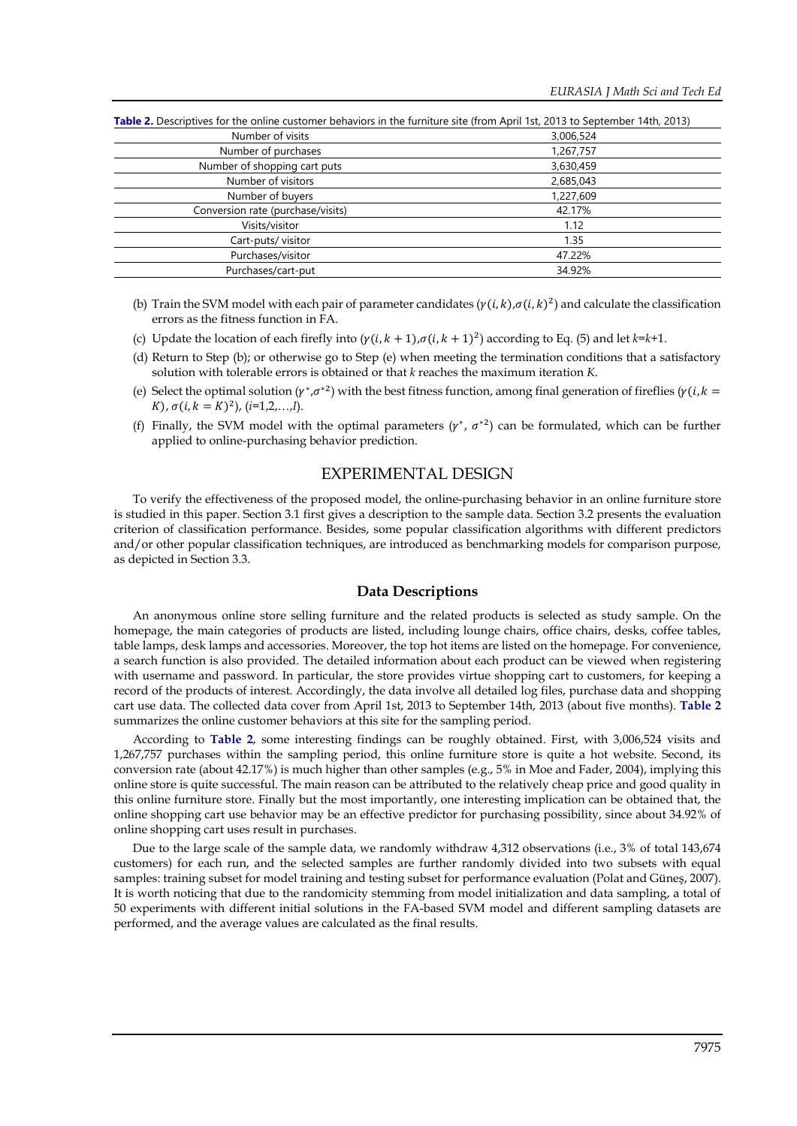| Table 2. Descriptives for the online customer behaviors in the furniture site (from April 1st, 2013 to September 14th, 2013) |           |
|------------------------------------------------------------------------------------------------------------------------------|-----------|
| Number of visits                                                                                                             | 3,006,524 |
| Number of purchases                                                                                                          | 1,267,757 |
| Number of shopping cart puts                                                                                                 | 3,630,459 |
| Number of visitors                                                                                                           | 2,685,043 |
| Number of buyers                                                                                                             | 1,227,609 |
| Conversion rate (purchase/visits)                                                                                            | 42.17%    |
| Visits/visitor                                                                                                               | 1.12      |
| Cart-puts/visitor                                                                                                            | 1.35      |
| Purchases/visitor                                                                                                            | 47.22%    |
| Purchases/cart-put                                                                                                           | 34.92%    |
|                                                                                                                              |           |

**Table 2.** Descriptives for the online customer behaviors in the furniture site (from April 1st, 2013 to September 14th, 2013)

- (b) Train the SVM model with each pair of parameter candidates  $(v(i, k), \sigma(i, k)^2)$  and calculate the classification errors as the fitness function in FA.
- (c) Update the location of each firefly into  $(\gamma(i, k + 1), \sigma(i, k + 1)^2)$  according to Eq. (5) and let  $k=k+1$ .
- (d) Return to Step (b); or otherwise go to Step (e) when meeting the termination conditions that a satisfactory solution with tolerable errors is obtained or that *k* reaches the maximum iteration *K*.
- (e) Select the optimal solution  $(\gamma^*, \sigma^{*2})$  with the best fitness function, among final generation of fireflies ( $\nu(i, k =$ K),  $\sigma(i, k = K)^2$ ,  $(i=1,2,...,I)$ .
- (f) Finally, the SVM model with the optimal parameters  $(\gamma^*, \sigma^{*2})$  can be formulated, which can be further applied to online-purchasing behavior prediction.

## EXPERIMENTAL DESIGN

To verify the effectiveness of the proposed model, the online-purchasing behavior in an online furniture store is studied in this paper. Section 3.1 first gives a description to the sample data. Section 3.2 presents the evaluation criterion of classification performance. Besides, some popular classification algorithms with different predictors and/or other popular classification techniques, are introduced as benchmarking models for comparison purpose, as depicted in Section 3.3.

## **Data Descriptions**

An anonymous online store selling furniture and the related products is selected as study sample. On the homepage, the main categories of products are listed, including lounge chairs, office chairs, desks, coffee tables, table lamps, desk lamps and accessories. Moreover, the top hot items are listed on the homepage. For convenience, a search function is also provided. The detailed information about each product can be viewed when registering with username and password. In particular, the store provides virtue shopping cart to customers, for keeping a record of the products of interest. Accordingly, the data involve all detailed log files, purchase data and shopping cart use data. The collected data cover from April 1st, 2013 to September 14th, 2013 (about five months). **Table 2** summarizes the online customer behaviors at this site for the sampling period.

According to **Table 2**, some interesting findings can be roughly obtained. First, with 3,006,524 visits and 1,267,757 purchases within the sampling period, this online furniture store is quite a hot website. Second, its conversion rate (about 42.17%) is much higher than other samples (e.g., 5% in Moe and Fader, 2004), implying this online store is quite successful. The main reason can be attributed to the relatively cheap price and good quality in this online furniture store. Finally but the most importantly, one interesting implication can be obtained that, the online shopping cart use behavior may be an effective predictor for purchasing possibility, since about 34.92% of online shopping cart uses result in purchases.

Due to the large scale of the sample data, we randomly withdraw 4,312 observations (i.e., 3% of total 143,674 customers) for each run, and the selected samples are further randomly divided into two subsets with equal samples: training subset for model training and testing subset for performance evaluation (Polat and Güneş, 2007). It is worth noticing that due to the randomicity stemming from model initialization and data sampling, a total of 50 experiments with different initial solutions in the FA-based SVM model and different sampling datasets are performed, and the average values are calculated as the final results.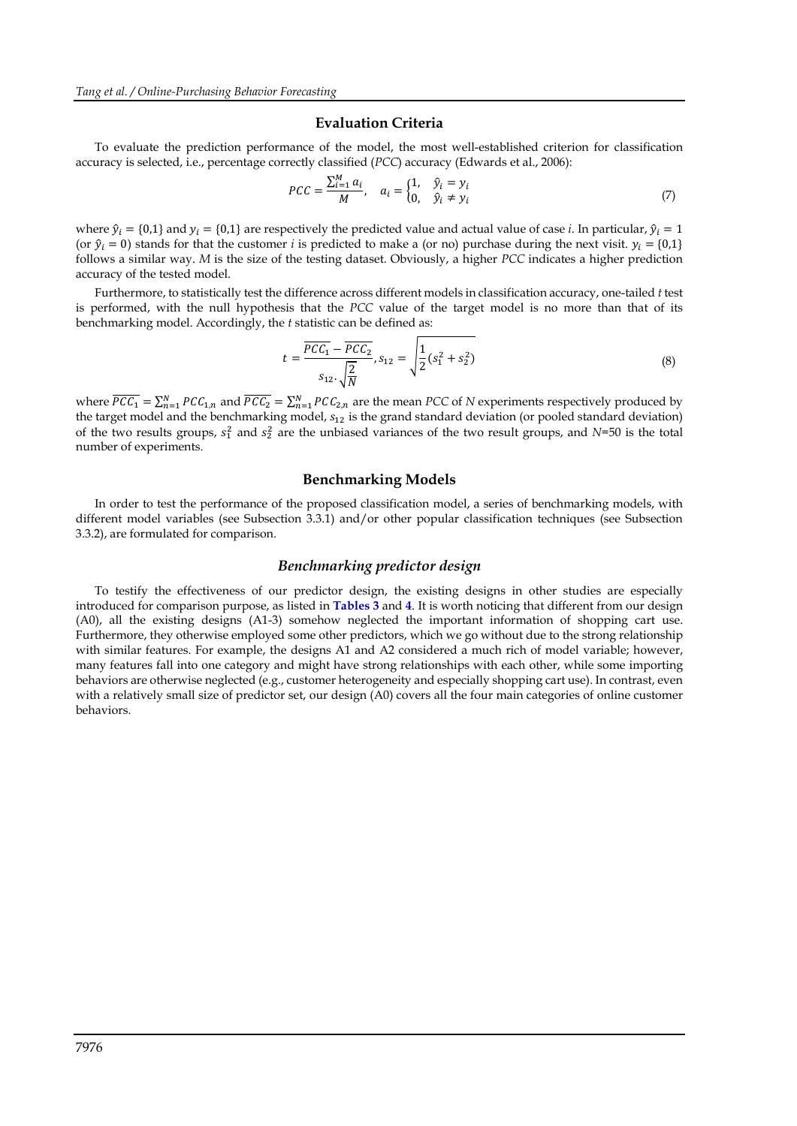#### **Evaluation Criteria**

To evaluate the prediction performance of the model, the most well-established criterion for classification accuracy is selected, i.e., percentage correctly classified (*PCC*) accuracy (Edwards et al., 2006):

$$
PCC = \frac{\sum_{i=1}^{M} a_i}{M}, \quad a_i = \begin{cases} 1, & \hat{y}_i = y_i \\ 0, & \hat{y}_i \neq y_i \end{cases}
$$
(7)

where  $\hat{y}_i = \{0,1\}$  and  $y_i = \{0,1\}$  are respectively the predicted value and actual value of case *i*. In particular,  $\hat{y}_i = 1$ (or  $\hat{v}_i = 0$ ) stands for that the customer *i* is predicted to make a (or no) purchase during the next visit.  $v_i = \{0, 1\}$ follows a similar way. *M* is the size of the testing dataset. Obviously, a higher *PCC* indicates a higher prediction accuracy of the tested model.

Furthermore, to statistically test the difference across different models in classification accuracy, one-tailed *t* test is performed, with the null hypothesis that the *PCC* value of the target model is no more than that of its benchmarking model. Accordingly, the *t* statistic can be defined as:

$$
t = \frac{\overline{PCC_1} - \overline{PCC_2}}{s_{12} \cdot \sqrt{\frac{2}{N}}}, s_{12} = \sqrt{\frac{1}{2} (s_1^2 + s_2^2)}
$$
\n(8)

where  $PCC_1 = \sum_{n=1}^{N} PCC_{1,n}$  and  $PCC_2 = \sum_{n=1}^{N} PCC_{2,n}$  are the mean *PCC* of *N* experiments respectively produced by the target model and the benchmarking model,  $s_{12}$  is the grand standard deviation (or pooled standard deviation) of the two results groups,  $s_1^2$  and  $s_2^2$  are the unbiased variances of the two result groups, and  $N=50$  is the total number of experiments.

#### **Benchmarking Models**

In order to test the performance of the proposed classification model, a series of benchmarking models, with different model variables (see Subsection 3.3.1) and/or other popular classification techniques (see Subsection 3.3.2), are formulated for comparison.

#### *Benchmarking predictor design*

To testify the effectiveness of our predictor design, the existing designs in other studies are especially introduced for comparison purpose, as listed in **Tables 3** and **4**. It is worth noticing that different from our design (A0), all the existing designs (A1-3) somehow neglected the important information of shopping cart use. Furthermore, they otherwise employed some other predictors, which we go without due to the strong relationship with similar features. For example, the designs A1 and A2 considered a much rich of model variable; however, many features fall into one category and might have strong relationships with each other, while some importing behaviors are otherwise neglected (e.g., customer heterogeneity and especially shopping cart use). In contrast, even with a relatively small size of predictor set, our design (A0) covers all the four main categories of online customer behaviors.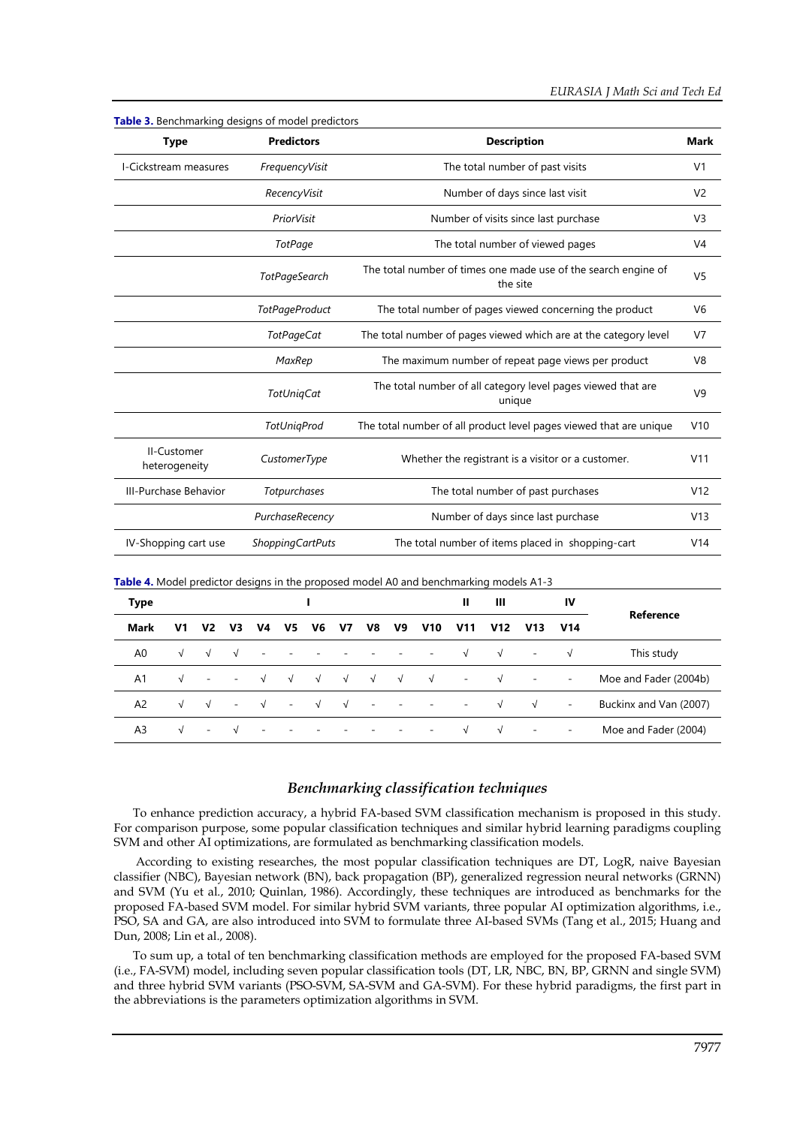| <b>Type</b>                  | <b>Predictors</b>       | <b>Description</b>                                                         | <b>Mark</b>     |
|------------------------------|-------------------------|----------------------------------------------------------------------------|-----------------|
| I-Cickstream measures        | FrequencyVisit          | The total number of past visits                                            | V <sub>1</sub>  |
|                              | RecencyVisit            | Number of days since last visit                                            | V <sub>2</sub>  |
|                              | PriorVisit              | Number of visits since last purchase                                       | V <sub>3</sub>  |
|                              | <b>TotPage</b>          | The total number of viewed pages                                           | V <sub>4</sub>  |
|                              | <b>TotPageSearch</b>    | The total number of times one made use of the search engine of<br>the site | V <sub>5</sub>  |
|                              | <b>TotPageProduct</b>   | The total number of pages viewed concerning the product                    | V <sub>6</sub>  |
|                              | <b>TotPageCat</b>       | The total number of pages viewed which are at the category level           | V <sub>7</sub>  |
|                              | MaxRep                  | The maximum number of repeat page views per product                        | V <sub>8</sub>  |
|                              | <b>TotUnigCat</b>       | The total number of all category level pages viewed that are<br>unique     | V <sub>9</sub>  |
|                              | <b>TotUnigProd</b>      | The total number of all product level pages viewed that are unique         | V10             |
| II-Customer<br>heterogeneity | CustomerType            | Whether the registrant is a visitor or a customer.                         |                 |
| III-Purchase Behavior        | Totpurchases            | The total number of past purchases                                         | V <sub>12</sub> |
|                              | PurchaseRecency         | Number of days since last purchase                                         | V13             |
| IV-Shopping cart use         | <b>ShoppingCartPuts</b> | The total number of items placed in shopping-cart                          | V14             |

**Table 3.** Benchmarking designs of model predictors

|  | <b>Table 4.</b> Model predictor designs in the proposed model A0 and benchmarking models A1-3 |
|--|-----------------------------------------------------------------------------------------------|
|  |                                                                                               |

|                |            |                          |                          |                          |            |            |            |            |                          |                          |            | ້               |                          |        |                        |  |
|----------------|------------|--------------------------|--------------------------|--------------------------|------------|------------|------------|------------|--------------------------|--------------------------|------------|-----------------|--------------------------|--------|------------------------|--|
| <b>Type</b>    |            |                          |                          |                          |            |            |            |            |                          |                          | Ш          | Ш               |                          | IV     | Reference              |  |
| Mark           | V1         | V <sub>2</sub>           | V3                       | V4                       | V5         | V6         | V7         | V8         | V9                       | V10                      | V11        | V <sub>12</sub> | V13                      | V14    |                        |  |
| A0             | $\sqrt{ }$ | $\sqrt{ }$               | $\sqrt{ }$               | $\overline{\phantom{a}}$ | $\sim$     | $\sim$ $-$ | $\sim 100$ | $\sim$     | $\overline{\phantom{a}}$ | $\sim 100$ m $^{-1}$     | $\sqrt{ }$ | $\sqrt{ }$      | $\overline{\phantom{a}}$ |        | This study             |  |
| A <sub>1</sub> | $\sqrt{ }$ | $\overline{\phantom{a}}$ | $\overline{\phantom{a}}$ | V                        | $\sqrt{ }$ | $\sqrt{ }$ | $\sqrt{ }$ | $\sqrt{ }$ |                          | $\sqrt{ }$               | $\sim$     | $\sqrt{ }$      | $\overline{\phantom{a}}$ | $\sim$ | Moe and Fader (2004b)  |  |
| A <sup>2</sup> | V          | $\sqrt{ }$               | $\sim$                   | $\sqrt{ }$               | ۰.         | $\sqrt{ }$ | $\sqrt{ }$ | ۰          | $\overline{\phantom{a}}$ | $\overline{\phantom{a}}$ | $\sim$     | $\sqrt{ }$      | $\sqrt{ }$               | $\sim$ | Buckinx and Van (2007) |  |
| A <sub>3</sub> | V          | $\overline{\phantom{a}}$ | $\sqrt{ }$               | $\overline{\phantom{a}}$ |            |            |            |            | $\overline{\phantom{a}}$ | $\overline{\phantom{a}}$ | V          | $\sqrt{ }$      | ٠                        | ٠      | Moe and Fader (2004)   |  |

## *Benchmarking classification techniques*

To enhance prediction accuracy, a hybrid FA-based SVM classification mechanism is proposed in this study. For comparison purpose, some popular classification techniques and similar hybrid learning paradigms coupling SVM and other AI optimizations, are formulated as benchmarking classification models.

According to existing researches, the most popular classification techniques are DT, LogR, naive Bayesian classifier (NBC), Bayesian network (BN), back propagation (BP), generalized regression neural networks (GRNN) and SVM (Yu et al., 2010; Quinlan, 1986). Accordingly, these techniques are introduced as benchmarks for the proposed FA-based SVM model. For similar hybrid SVM variants, three popular AI optimization algorithms, i.e., PSO, SA and GA, are also introduced into SVM to formulate three AI-based SVMs (Tang et al., 2015; Huang and Dun, 2008; Lin et al., 2008).

To sum up, a total of ten benchmarking classification methods are employed for the proposed FA-based SVM (i.e., FA-SVM) model, including seven popular classification tools (DT, LR, NBC, BN, BP, GRNN and single SVM) and three hybrid SVM variants (PSO-SVM, SA-SVM and GA-SVM). For these hybrid paradigms, the first part in the abbreviations is the parameters optimization algorithms in SVM.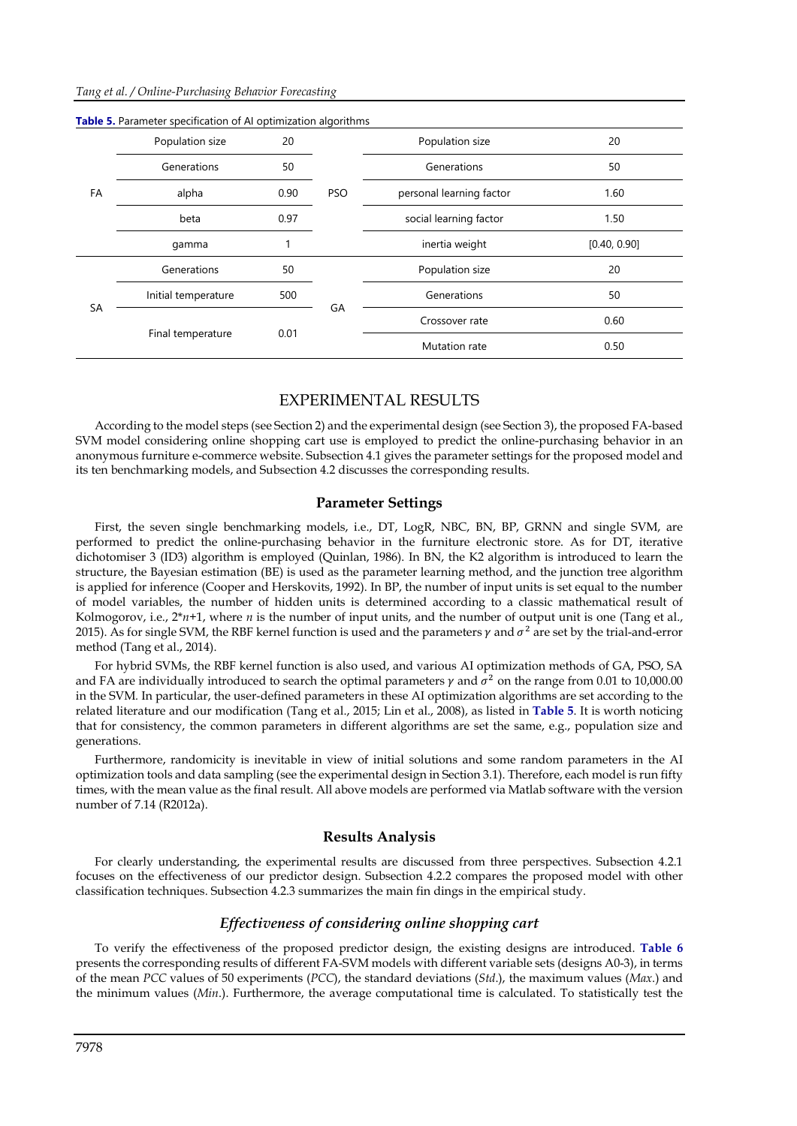|    | Table 5. Parameter specification of AI optimization algorithms |      |            |                          |              |  |
|----|----------------------------------------------------------------|------|------------|--------------------------|--------------|--|
|    | Population size                                                | 20   |            | Population size          | 20           |  |
| FA | Generations                                                    | 50   |            | Generations              | 50           |  |
|    | alpha                                                          | 0.90 | <b>PSO</b> | personal learning factor | 1.60         |  |
|    | beta                                                           | 0.97 |            | social learning factor   | 1.50         |  |
|    | gamma                                                          |      |            | inertia weight           | [0.40, 0.90] |  |
|    | Generations                                                    | 50   |            | Population size          | 20           |  |
|    | Initial temperature                                            | 500  |            | Generations              | 50           |  |
| SA |                                                                |      | GA         | Crossover rate           | 0.60         |  |
|    | Final temperature                                              | 0.01 |            | Mutation rate            | 0.50         |  |
|    |                                                                |      |            |                          |              |  |

#### EXPERIMENTAL RESULTS

According to the model steps (see Section 2) and the experimental design (see Section 3), the proposed FA-based SVM model considering online shopping cart use is employed to predict the online-purchasing behavior in an anonymous furniture e-commerce website. Subsection 4.1 gives the parameter settings for the proposed model and its ten benchmarking models, and Subsection 4.2 discusses the corresponding results.

## **Parameter Settings**

First, the seven single benchmarking models, i.e., DT, LogR, NBC, BN, BP, GRNN and single SVM, are performed to predict the online-purchasing behavior in the furniture electronic store. As for DT, iterative dichotomiser 3 (ID3) algorithm is employed (Quinlan, 1986). In BN, the K2 algorithm is introduced to learn the structure, the Bayesian estimation (BE) is used as the parameter learning method, and the junction tree algorithm is applied for inference (Cooper and Herskovits, 1992). In BP, the number of input units is set equal to the number of model variables, the number of hidden units is determined according to a classic mathematical result of Kolmogorov, i.e.,  $2*n+1$ , where *n* is the number of input units, and the number of output unit is one (Tang et al., 2015). As for single SVM, the RBF kernel function is used and the parameters  $\gamma$  and  $\sigma^2$  are set by the trial-and-error method (Tang et al., 2014).

For hybrid SVMs, the RBF kernel function is also used, and various AI optimization methods of GA, PSO, SA and FA are individually introduced to search the optimal parameters  $\gamma$  and  $\sigma^2$  on the range from 0.01 to 10,000.00 in the SVM*.* In particular, the user-defined parameters in these AI optimization algorithms are set according to the related literature and our modification (Tang et al., 2015; Lin et al., 2008), as listed in **Table 5**. It is worth noticing that for consistency, the common parameters in different algorithms are set the same, e.g., population size and generations.

Furthermore, randomicity is inevitable in view of initial solutions and some random parameters in the AI optimization tools and data sampling (see the experimental design in Section 3.1). Therefore, each model is run fifty times, with the mean value as the final result. All above models are performed via Matlab software with the version number of 7.14 (R2012a).

#### **Results Analysis**

For clearly understanding, the experimental results are discussed from three perspectives. Subsection 4.2.1 focuses on the effectiveness of our predictor design. Subsection 4.2.2 compares the proposed model with other classification techniques. Subsection 4.2.3 summarizes the main fin dings in the empirical study.

#### *Effectiveness of considering online shopping cart*

To verify the effectiveness of the proposed predictor design, the existing designs are introduced. **Table 6** presents the corresponding results of different FA-SVM models with different variable sets (designs A0-3), in terms of the mean *PCC* values of 50 experiments (*PCC*), the standard deviations (*Std*.), the maximum values (*Max*.) and the minimum values (*Min*.). Furthermore, the average computational time is calculated. To statistically test the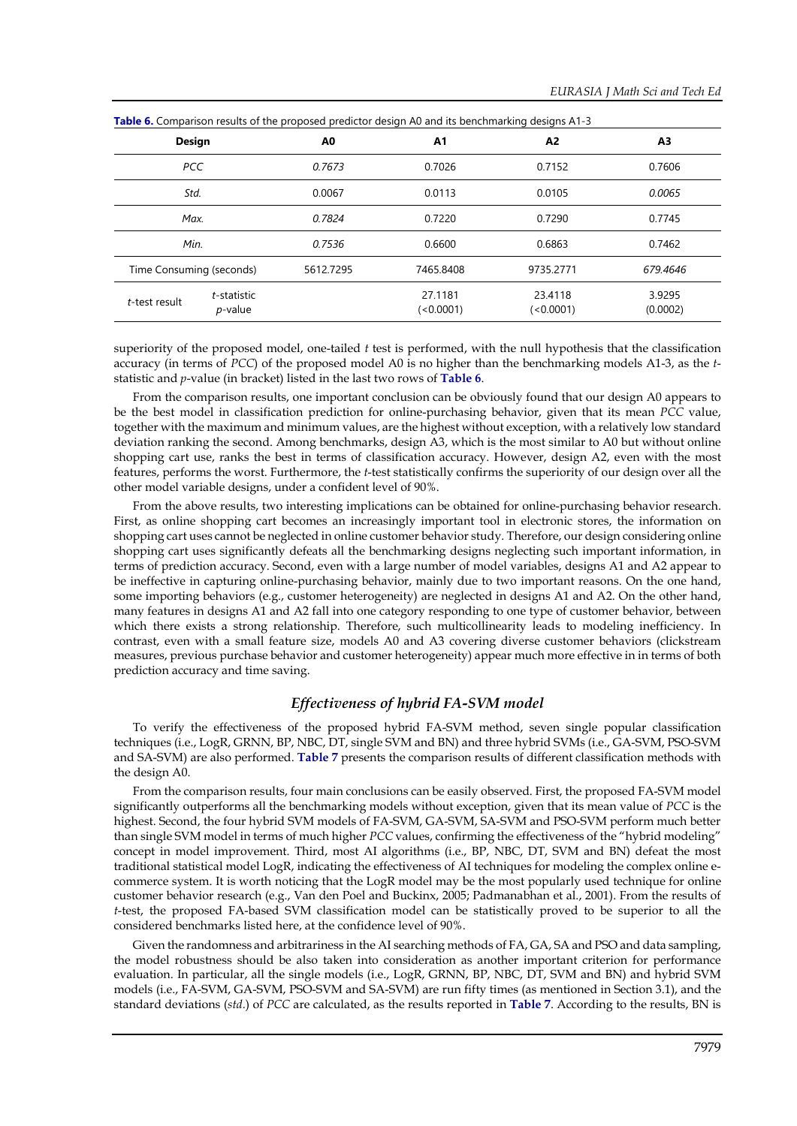| <b>Table of</b> companion results of the proposed predictor acsign houring benefitmarking acsigns had b |                           |           |                       |                       |                    |  |  |
|---------------------------------------------------------------------------------------------------------|---------------------------|-----------|-----------------------|-----------------------|--------------------|--|--|
| <b>Design</b>                                                                                           |                           | A0        | A1<br>A <sub>2</sub>  |                       | A3                 |  |  |
| <b>PCC</b>                                                                                              |                           | 0.7673    | 0.7026<br>0.7152      |                       | 0.7606             |  |  |
| Std.                                                                                                    |                           | 0.0067    | 0.0113                | 0.0105                | 0.0065             |  |  |
| Max.                                                                                                    |                           | 0.7824    | 0.7220                |                       | 0.7745             |  |  |
| Min.                                                                                                    |                           | 0.7536    | 0.6600<br>0.6863      |                       | 0.7462             |  |  |
| Time Consuming (seconds)                                                                                |                           | 5612.7295 | 7465.8408             | 9735.2771             | 679.4646           |  |  |
| $t$ -test result                                                                                        | t-statistic<br>$p$ -value |           | 27.1181<br>(< 0.0001) | 23.4118<br>(< 0.0001) | 3.9295<br>(0.0002) |  |  |

| <b>Table 6.</b> Comparison results of the proposed predictor design A0 and its benchmarking designs A1-3 |  |  |  |
|----------------------------------------------------------------------------------------------------------|--|--|--|
|----------------------------------------------------------------------------------------------------------|--|--|--|

superiority of the proposed model, one-tailed *t* test is performed, with the null hypothesis that the classification accuracy (in terms of *PCC*) of the proposed model A0 is no higher than the benchmarking models A1-3, as the *t*statistic and *p*-value (in bracket) listed in the last two rows of **Table 6**.

From the comparison results, one important conclusion can be obviously found that our design A0 appears to be the best model in classification prediction for online-purchasing behavior, given that its mean *PCC* value, together with the maximum and minimum values, are the highest without exception, with a relatively low standard deviation ranking the second. Among benchmarks, design A3, which is the most similar to A0 but without online shopping cart use, ranks the best in terms of classification accuracy. However, design A2, even with the most features, performs the worst. Furthermore, the *t*-test statistically confirms the superiority of our design over all the other model variable designs, under a confident level of 90%.

From the above results, two interesting implications can be obtained for online-purchasing behavior research. First, as online shopping cart becomes an increasingly important tool in electronic stores, the information on shopping cart uses cannot be neglected in online customer behavior study. Therefore, our design considering online shopping cart uses significantly defeats all the benchmarking designs neglecting such important information, in terms of prediction accuracy. Second, even with a large number of model variables, designs A1 and A2 appear to be ineffective in capturing online-purchasing behavior, mainly due to two important reasons. On the one hand, some importing behaviors (e.g., customer heterogeneity) are neglected in designs A1 and A2. On the other hand, many features in designs A1 and A2 fall into one category responding to one type of customer behavior, between which there exists a strong relationship. Therefore, such multicollinearity leads to modeling inefficiency. In contrast, even with a small feature size, models A0 and A3 covering diverse customer behaviors (clickstream measures, previous purchase behavior and customer heterogeneity) appear much more effective in in terms of both prediction accuracy and time saving.

## *Effectiveness of hybrid FA-SVM model*

To verify the effectiveness of the proposed hybrid FA-SVM method, seven single popular classification techniques (i.e., LogR, GRNN, BP, NBC, DT, single SVM and BN) and three hybrid SVMs (i.e., GA-SVM, PSO-SVM and SA-SVM) are also performed. **Table 7** presents the comparison results of different classification methods with the design A0.

From the comparison results, four main conclusions can be easily observed. First, the proposed FA-SVM model significantly outperforms all the benchmarking models without exception, given that its mean value of *PCC* is the highest. Second, the four hybrid SVM models of FA-SVM, GA-SVM, SA-SVM and PSO-SVM perform much better than single SVM model in terms of much higher *PCC* values, confirming the effectiveness of the "hybrid modeling" concept in model improvement. Third, most AI algorithms (i.e., BP, NBC, DT, SVM and BN) defeat the most traditional statistical model LogR, indicating the effectiveness of AI techniques for modeling the complex online ecommerce system. It is worth noticing that the LogR model may be the most popularly used technique for online customer behavior research (e.g., Van den Poel and Buckinx, 2005; Padmanabhan et al., 2001). From the results of *t*-test, the proposed FA-based SVM classification model can be statistically proved to be superior to all the considered benchmarks listed here, at the confidence level of 90%.

Given the randomness and arbitrariness in the AI searching methods of FA, GA, SA and PSO and data sampling, the model robustness should be also taken into consideration as another important criterion for performance evaluation. In particular, all the single models (i.e., LogR, GRNN, BP, NBC, DT, SVM and BN) and hybrid SVM models (i.e., FA-SVM, GA-SVM, PSO-SVM and SA-SVM) are run fifty times (as mentioned in Section 3.1), and the standard deviations (*std*.) of *PCC* are calculated, as the results reported in **Table 7**. According to the results, BN is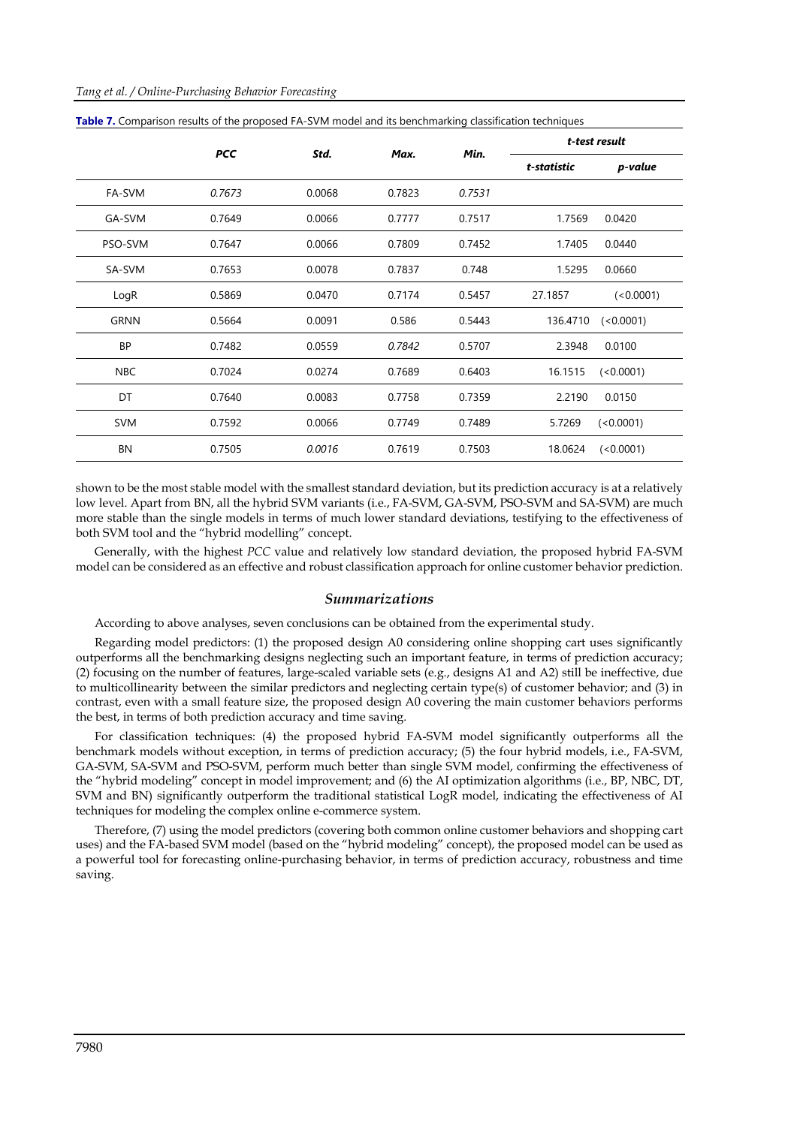|             |            |        |        |        | t-test result |            |  |
|-------------|------------|--------|--------|--------|---------------|------------|--|
|             | <b>PCC</b> | Std.   | Max.   | Min.   | t-statistic   | p-value    |  |
| FA-SVM      | 0.7673     | 0.0068 | 0.7823 | 0.7531 |               |            |  |
| GA-SVM      | 0.7649     | 0.0066 | 0.7777 | 0.7517 | 1.7569        | 0.0420     |  |
| PSO-SVM     | 0.7647     | 0.0066 | 0.7809 | 0.7452 | 1.7405        | 0.0440     |  |
| SA-SVM      | 0.7653     | 0.0078 | 0.7837 | 0.748  | 1.5295        | 0.0660     |  |
| LogR        | 0.5869     | 0.0470 | 0.7174 | 0.5457 | 27.1857       | (<0.0001)  |  |
| <b>GRNN</b> | 0.5664     | 0.0091 | 0.586  | 0.5443 | 136.4710      | (< 0.0001) |  |
| <b>BP</b>   | 0.7482     | 0.0559 | 0.7842 | 0.5707 | 2.3948        | 0.0100     |  |
| <b>NBC</b>  | 0.7024     | 0.0274 | 0.7689 | 0.6403 | 16.1515       | (< 0.0001) |  |
| DT          | 0.7640     | 0.0083 | 0.7758 | 0.7359 | 2.2190        | 0.0150     |  |
| <b>SVM</b>  | 0.7592     | 0.0066 | 0.7749 | 0.7489 | 5.7269        | (<0.0001)  |  |
| <b>BN</b>   | 0.7505     | 0.0016 | 0.7619 | 0.7503 | 18.0624       | (< 0.0001) |  |

**Table 7.** Comparison results of the proposed FA-SVM model and its benchmarking classification techniques

shown to be the most stable model with the smallest standard deviation, but its prediction accuracy is at a relatively low level. Apart from BN, all the hybrid SVM variants (i.e., FA-SVM, GA-SVM, PSO-SVM and SA-SVM) are much more stable than the single models in terms of much lower standard deviations, testifying to the effectiveness of both SVM tool and the "hybrid modelling" concept.

Generally, with the highest *PCC* value and relatively low standard deviation, the proposed hybrid FA-SVM model can be considered as an effective and robust classification approach for online customer behavior prediction.

#### *Summarizations*

According to above analyses, seven conclusions can be obtained from the experimental study.

Regarding model predictors: (1) the proposed design A0 considering online shopping cart uses significantly outperforms all the benchmarking designs neglecting such an important feature, in terms of prediction accuracy; (2) focusing on the number of features, large-scaled variable sets (e.g., designs A1 and A2) still be ineffective, due to multicollinearity between the similar predictors and neglecting certain type(s) of customer behavior; and (3) in contrast, even with a small feature size, the proposed design A0 covering the main customer behaviors performs the best, in terms of both prediction accuracy and time saving.

For classification techniques: (4) the proposed hybrid FA-SVM model significantly outperforms all the benchmark models without exception, in terms of prediction accuracy; (5) the four hybrid models, i.e., FA-SVM, GA-SVM, SA-SVM and PSO-SVM, perform much better than single SVM model, confirming the effectiveness of the "hybrid modeling" concept in model improvement; and (6) the AI optimization algorithms (i.e., BP, NBC, DT, SVM and BN) significantly outperform the traditional statistical LogR model, indicating the effectiveness of AI techniques for modeling the complex online e-commerce system.

Therefore, (7) using the model predictors (covering both common online customer behaviors and shopping cart uses) and the FA-based SVM model (based on the "hybrid modeling" concept), the proposed model can be used as a powerful tool for forecasting online-purchasing behavior, in terms of prediction accuracy, robustness and time saving.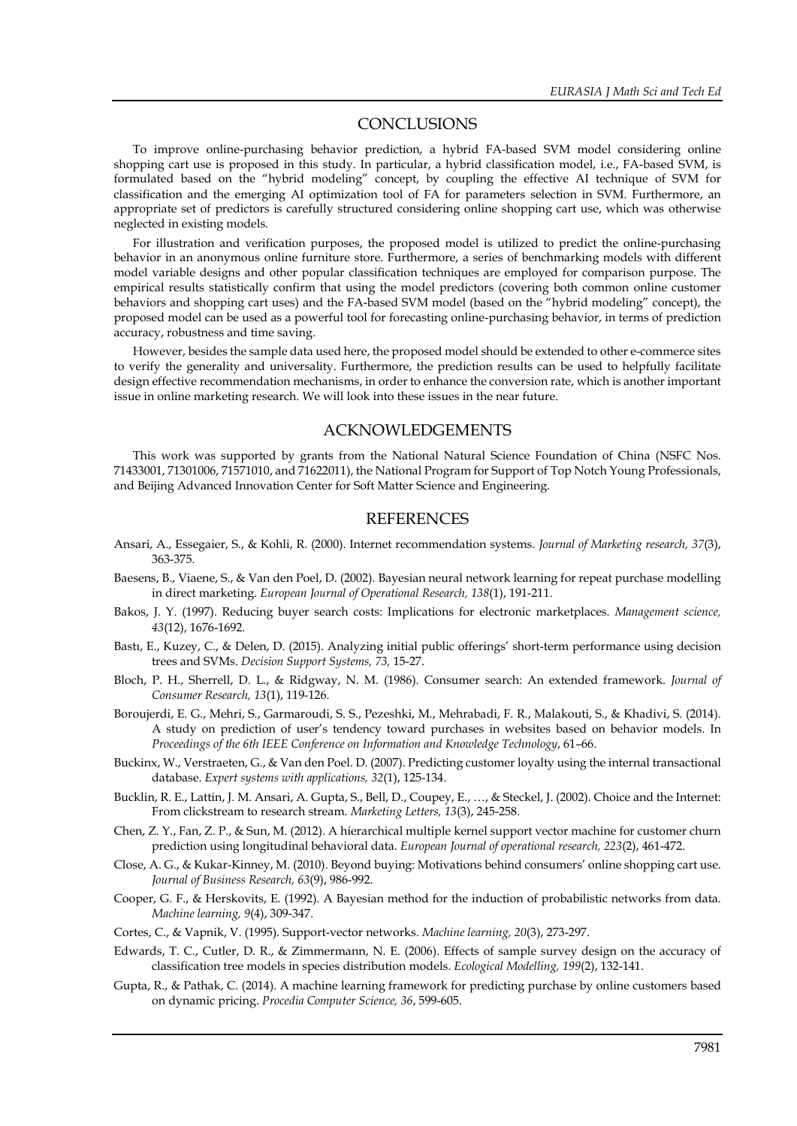## **CONCLUSIONS**

To improve online-purchasing behavior prediction, a hybrid FA-based SVM model considering online shopping cart use is proposed in this study. In particular, a hybrid classification model, i.e., FA-based SVM, is formulated based on the "hybrid modeling" concept, by coupling the effective AI technique of SVM for classification and the emerging AI optimization tool of FA for parameters selection in SVM. Furthermore, an appropriate set of predictors is carefully structured considering online shopping cart use, which was otherwise neglected in existing models.

For illustration and verification purposes, the proposed model is utilized to predict the online-purchasing behavior in an anonymous online furniture store. Furthermore, a series of benchmarking models with different model variable designs and other popular classification techniques are employed for comparison purpose. The empirical results statistically confirm that using the model predictors (covering both common online customer behaviors and shopping cart uses) and the FA-based SVM model (based on the "hybrid modeling" concept), the proposed model can be used as a powerful tool for forecasting online-purchasing behavior, in terms of prediction accuracy, robustness and time saving.

However, besides the sample data used here, the proposed model should be extended to other e-commerce sites to verify the generality and universality. Furthermore, the prediction results can be used to helpfully facilitate design effective recommendation mechanisms, in order to enhance the conversion rate, which is another important issue in online marketing research. We will look into these issues in the near future.

## ACKNOWLEDGEMENTS

This work was supported by grants from the National Natural Science Foundation of China (NSFC Nos. 71433001, 71301006, 71571010, and 71622011), the National Program for Support of Top Notch Young Professionals, and Beijing Advanced Innovation Center for Soft Matter Science and Engineering.

## **REFERENCES**

- Ansari, A., Essegaier, S., & Kohli, R. (2000). Internet recommendation systems. *Journal of Marketing research, 37*(3), 363-375.
- Baesens, B., Viaene, S., & Van den Poel, D. (2002). Bayesian neural network learning for repeat purchase modelling in direct marketing. *European Journal of Operational Research, 138*(1), 191-211.
- Bakos, J. Y. (1997). Reducing buyer search costs: Implications for electronic marketplaces. *Management science, 43*(12), 1676-1692.
- Bastı, E., Kuzey, C., & Delen, D. (2015). Analyzing initial public offerings' short-term performance using decision trees and SVMs. *Decision Support Systems, 73,* 15-27.
- Bloch, P. H., Sherrell, D. L., & Ridgway, N. M. (1986). Consumer search: An extended framework. *Journal of Consumer Research, 13*(1), 119-126.
- Boroujerdi, E. G., Mehri, S., Garmaroudi, S. S., Pezeshki, M., Mehrabadi, F. R., Malakouti, S., & Khadivi, S. (2014). A study on prediction of user's tendency toward purchases in websites based on behavior models. In *Proceedings of the 6th IEEE Conference on Information and Knowledge Technology*, 61–66.
- Buckinx, W., Verstraeten, G., & Van den Poel. D. (2007). Predicting customer loyalty using the internal transactional database. *Expert systems with applications, 32*(1), 125-134.
- Bucklin, R. E., Lattin, J. M. Ansari, A. Gupta, S., Bell, D., Coupey, E., …, & Steckel, J. (2002). Choice and the Internet: From clickstream to research stream. *Marketing Letters, 13*(3), 245-258.
- Chen, Z. Y., Fan, Z. P., & Sun, M. (2012). A hierarchical multiple kernel support vector machine for customer churn prediction using longitudinal behavioral data. *European Journal of operational research, 223*(2), 461-472.
- Close, A. G., & Kukar-Kinney, M. (2010). Beyond buying: Motivations behind consumers' online shopping cart use. *Journal of Business Research, 63*(9), 986-992.
- Cooper, G. F., & Herskovits, E. (1992). A Bayesian method for the induction of probabilistic networks from data. *Machine learning, 9*(4), 309-347.
- Cortes, C., & Vapnik, V. (1995). Support-vector networks. *Machine learning, 20*(3), 273-297.
- Edwards, T. C., Cutler, D. R., & Zimmermann, N. E. (2006). Effects of sample survey design on the accuracy of classification tree models in species distribution models. *Ecological Modelling, 199*(2), 132-141.
- Gupta, R., & Pathak, C. (2014). A machine learning framework for predicting purchase by online customers based on dynamic pricing. *Procedia Computer Science, 36*, 599-605.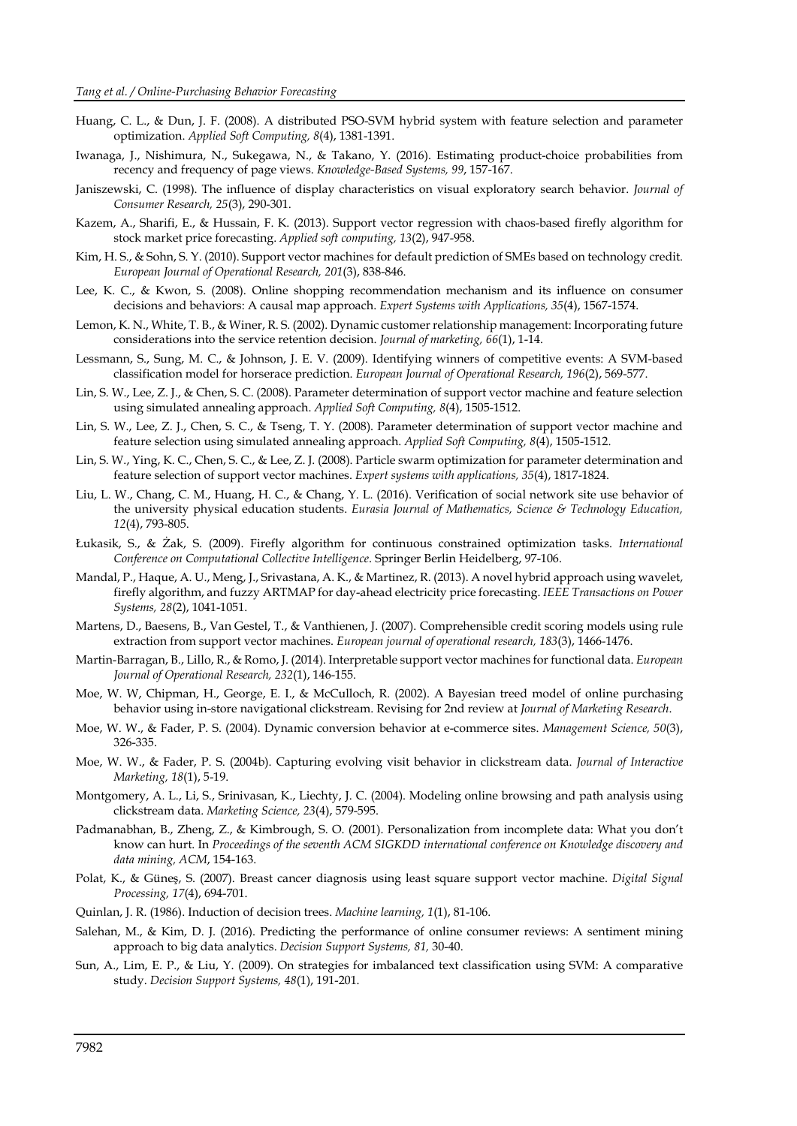- Huang, C. L., & Dun, J. F. (2008). A distributed PSO-SVM hybrid system with feature selection and parameter optimization. *Applied Soft Computing, 8*(4), 1381-1391.
- Iwanaga, J., Nishimura, N., Sukegawa, N., & Takano, Y. (2016). Estimating product-choice probabilities from recency and frequency of page views. *Knowledge-Based Systems, 99*, 157-167.
- Janiszewski, C. (1998). The influence of display characteristics on visual exploratory search behavior. *Journal of Consumer Research, 25*(3), 290-301.
- Kazem, A., Sharifi, E., & Hussain, F. K. (2013). Support vector regression with chaos-based firefly algorithm for stock market price forecasting. *Applied soft computing, 13*(2), 947-958.
- Kim, H. S., & Sohn, S. Y. (2010). Support vector machines for default prediction of SMEs based on technology credit. *European Journal of Operational Research, 201*(3), 838-846.
- Lee, K. C., & Kwon, S. (2008). Online shopping recommendation mechanism and its influence on consumer decisions and behaviors: A causal map approach. *Expert Systems with Applications, 35*(4), 1567-1574.
- Lemon, K. N., White, T. B., & Winer, R. S. (2002). Dynamic customer relationship management: Incorporating future considerations into the service retention decision. *Journal of marketing, 66*(1), 1-14.
- Lessmann, S., Sung, M. C., & Johnson, J. E. V. (2009). Identifying winners of competitive events: A SVM-based classification model for horserace prediction. *European Journal of Operational Research, 196*(2), 569-577.
- Lin, S. W., Lee, Z. J., & Chen, S. C. (2008). Parameter determination of support vector machine and feature selection using simulated annealing approach. *Applied Soft Computing, 8*(4), 1505-1512.
- Lin, S. W., Lee, Z. J., Chen, S. C., & Tseng, T. Y. (2008). Parameter determination of support vector machine and feature selection using simulated annealing approach. *Applied Soft Computing, 8*(4), 1505-1512.
- Lin, S. W., Ying, K. C., Chen, S. C., & Lee, Z. J. (2008). Particle swarm optimization for parameter determination and feature selection of support vector machines. *Expert systems with applications, 35*(4), 1817-1824.
- Liu, L. W., Chang, C. M., Huang, H. C., & Chang, Y. L. (2016). Verification of social network site use behavior of the university physical education students. *Eurasia Journal of Mathematics, Science & Technology Education, 12*(4), 793-805.
- Łukasik, S., & Żak, S. (2009). Firefly algorithm for continuous constrained optimization tasks. *International Conference on Computational Collective Intelligence*. Springer Berlin Heidelberg, 97-106.
- Mandal, P., Haque, A. U., Meng, J., Srivastana, A. K., & Martinez, R. (2013). A novel hybrid approach using wavelet, firefly algorithm, and fuzzy ARTMAP for day-ahead electricity price forecasting. *IEEE Transactions on Power Systems, 28*(2), 1041-1051.
- Martens, D., Baesens, B., Van Gestel, T., & Vanthienen, J. (2007). Comprehensible credit scoring models using rule extraction from support vector machines. *European journal of operational research, 183*(3), 1466-1476.
- Martin-Barragan, B., Lillo, R., & Romo, J. (2014). Interpretable support vector machines for functional data. *European Journal of Operational Research, 232*(1), 146-155.
- Moe, W. W, Chipman, H., George, E. I., & McCulloch, R. (2002). A Bayesian treed model of online purchasing behavior using in-store navigational clickstream. Revising for 2nd review at *Journal of Marketing Research*.
- Moe, W. W., & Fader, P. S. (2004). Dynamic conversion behavior at e-commerce sites. *Management Science, 50*(3), 326-335.
- Moe, W. W., & Fader, P. S. (2004b). Capturing evolving visit behavior in clickstream data. *Journal of Interactive Marketing, 18*(1), 5-19.
- Montgomery, A. L., Li, S., Srinivasan, K., Liechty, J. C. (2004). Modeling online browsing and path analysis using clickstream data. *Marketing Science, 23*(4), 579-595.
- Padmanabhan, B., Zheng, Z., & Kimbrough, S. O. (2001). Personalization from incomplete data: What you don't know can hurt. In *Proceedings of the seventh ACM SIGKDD international conference on Knowledge discovery and data mining, ACM*, 154-163.
- Polat, K., & Güneş, S. (2007). Breast cancer diagnosis using least square support vector machine. *Digital Signal Processing, 17*(4), 694-701.
- Quinlan, J. R. (1986). Induction of decision trees. *Machine learning, 1*(1), 81-106.
- Salehan, M., & Kim, D. J. (2016). Predicting the performance of online consumer reviews: A sentiment mining approach to big data analytics. *Decision Support Systems, 81,* 30-40.
- Sun, A., Lim, E. P., & Liu, Y. (2009). On strategies for imbalanced text classification using SVM: A comparative study. *Decision Support Systems, 48*(1), 191-201.